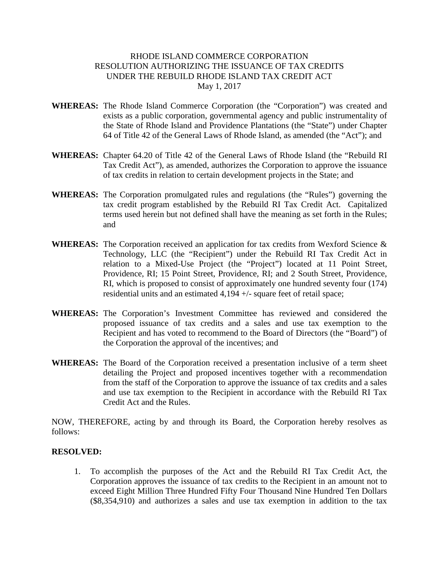## RHODE ISLAND COMMERCE CORPORATION RESOLUTION AUTHORIZING THE ISSUANCE OF TAX CREDITS UNDER THE REBUILD RHODE ISLAND TAX CREDIT ACT May 1, 2017

- **WHEREAS:** The Rhode Island Commerce Corporation (the "Corporation") was created and exists as a public corporation, governmental agency and public instrumentality of the State of Rhode Island and Providence Plantations (the "State") under Chapter 64 of Title 42 of the General Laws of Rhode Island, as amended (the "Act"); and
- **WHEREAS:** Chapter 64.20 of Title 42 of the General Laws of Rhode Island (the "Rebuild RI Tax Credit Act"), as amended, authorizes the Corporation to approve the issuance of tax credits in relation to certain development projects in the State; and
- **WHEREAS:** The Corporation promulgated rules and regulations (the "Rules") governing the tax credit program established by the Rebuild RI Tax Credit Act. Capitalized terms used herein but not defined shall have the meaning as set forth in the Rules; and
- **WHEREAS:** The Corporation received an application for tax credits from Wexford Science & Technology, LLC (the "Recipient") under the Rebuild RI Tax Credit Act in relation to a Mixed-Use Project (the "Project") located at 11 Point Street, Providence, RI; 15 Point Street, Providence, RI; and 2 South Street, Providence, RI, which is proposed to consist of approximately one hundred seventy four (174) residential units and an estimated 4,194 +/- square feet of retail space;
- **WHEREAS:** The Corporation's Investment Committee has reviewed and considered the proposed issuance of tax credits and a sales and use tax exemption to the Recipient and has voted to recommend to the Board of Directors (the "Board") of the Corporation the approval of the incentives; and
- **WHEREAS:** The Board of the Corporation received a presentation inclusive of a term sheet detailing the Project and proposed incentives together with a recommendation from the staff of the Corporation to approve the issuance of tax credits and a sales and use tax exemption to the Recipient in accordance with the Rebuild RI Tax Credit Act and the Rules.

NOW, THEREFORE, acting by and through its Board, the Corporation hereby resolves as follows:

## **RESOLVED:**

1. To accomplish the purposes of the Act and the Rebuild RI Tax Credit Act, the Corporation approves the issuance of tax credits to the Recipient in an amount not to exceed Eight Million Three Hundred Fifty Four Thousand Nine Hundred Ten Dollars (\$8,354,910) and authorizes a sales and use tax exemption in addition to the tax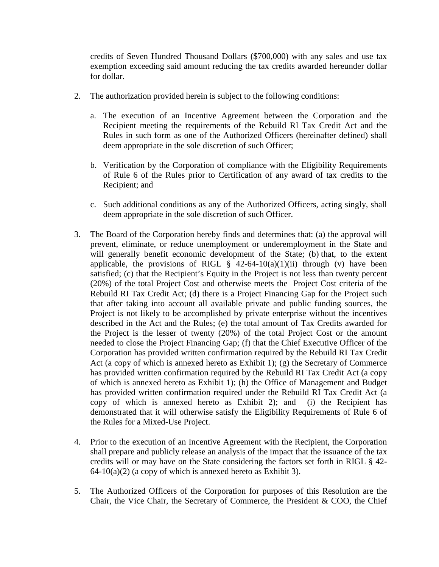credits of Seven Hundred Thousand Dollars (\$700,000) with any sales and use tax exemption exceeding said amount reducing the tax credits awarded hereunder dollar for dollar.

- 2. The authorization provided herein is subject to the following conditions:
	- a. The execution of an Incentive Agreement between the Corporation and the Recipient meeting the requirements of the Rebuild RI Tax Credit Act and the Rules in such form as one of the Authorized Officers (hereinafter defined) shall deem appropriate in the sole discretion of such Officer;
	- b. Verification by the Corporation of compliance with the Eligibility Requirements of Rule 6 of the Rules prior to Certification of any award of tax credits to the Recipient; and
	- c. Such additional conditions as any of the Authorized Officers, acting singly, shall deem appropriate in the sole discretion of such Officer.
- 3. The Board of the Corporation hereby finds and determines that: (a) the approval will prevent, eliminate, or reduce unemployment or underemployment in the State and will generally benefit economic development of the State; (b) that, to the extent applicable, the provisions of RIGL  $\S$  42-64-10(a)(1)(ii) through (v) have been satisfied; (c) that the Recipient's Equity in the Project is not less than twenty percent (20%) of the total Project Cost and otherwise meets the Project Cost criteria of the Rebuild RI Tax Credit Act; (d) there is a Project Financing Gap for the Project such that after taking into account all available private and public funding sources, the Project is not likely to be accomplished by private enterprise without the incentives described in the Act and the Rules; (e) the total amount of Tax Credits awarded for the Project is the lesser of twenty (20%) of the total Project Cost or the amount needed to close the Project Financing Gap; (f) that the Chief Executive Officer of the Corporation has provided written confirmation required by the Rebuild RI Tax Credit Act (a copy of which is annexed hereto as Exhibit 1); (g) the Secretary of Commerce has provided written confirmation required by the Rebuild RI Tax Credit Act (a copy of which is annexed hereto as Exhibit 1); (h) the Office of Management and Budget has provided written confirmation required under the Rebuild RI Tax Credit Act (a copy of which is annexed hereto as Exhibit 2); and (i) the Recipient has demonstrated that it will otherwise satisfy the Eligibility Requirements of Rule 6 of the Rules for a Mixed-Use Project.
- 4. Prior to the execution of an Incentive Agreement with the Recipient, the Corporation shall prepare and publicly release an analysis of the impact that the issuance of the tax credits will or may have on the State considering the factors set forth in RIGL § 42-  $64-10(a)(2)$  (a copy of which is annexed hereto as Exhibit 3).
- 5. The Authorized Officers of the Corporation for purposes of this Resolution are the Chair, the Vice Chair, the Secretary of Commerce, the President & COO, the Chief